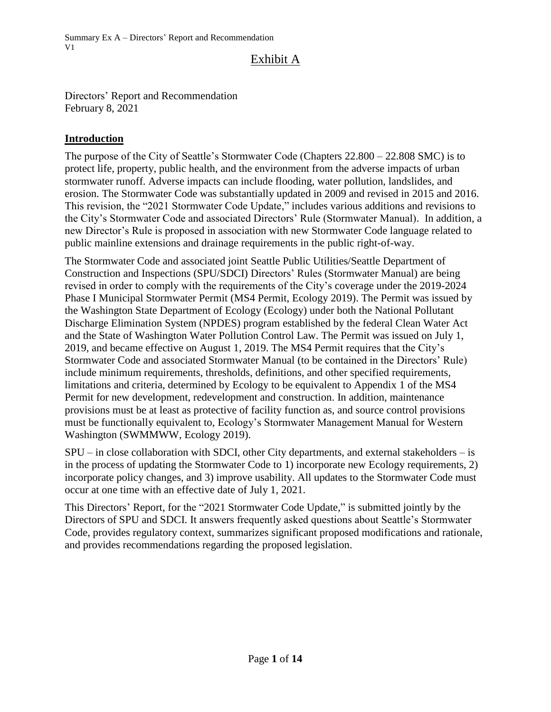Summary Ex A – Directors' Report and Recommendation V1

# Exhibit A

Directors' Report and Recommendation February 8, 2021

### **Introduction**

The purpose of the City of Seattle's Stormwater Code (Chapters 22.800 – 22.808 SMC) is to protect life, property, public health, and the environment from the adverse impacts of urban stormwater runoff. Adverse impacts can include flooding, water pollution, landslides, and erosion. The Stormwater Code was substantially updated in 2009 and revised in 2015 and 2016. This revision, the "2021 Stormwater Code Update," includes various additions and revisions to the City's Stormwater Code and associated Directors' Rule (Stormwater Manual). In addition, a new Director's Rule is proposed in association with new Stormwater Code language related to public mainline extensions and drainage requirements in the public right-of-way.

The Stormwater Code and associated joint Seattle Public Utilities/Seattle Department of Construction and Inspections (SPU/SDCI) Directors' Rules (Stormwater Manual) are being revised in order to comply with the requirements of the City's coverage under the 2019-2024 Phase I Municipal Stormwater Permit (MS4 Permit, Ecology 2019). The Permit was issued by the Washington State Department of Ecology (Ecology) under both the National Pollutant Discharge Elimination System (NPDES) program established by the federal Clean Water Act and the State of Washington Water Pollution Control Law. The Permit was issued on July 1, 2019, and became effective on August 1, 2019. The MS4 Permit requires that the City's Stormwater Code and associated Stormwater Manual (to be contained in the Directors' Rule) include minimum requirements, thresholds, definitions, and other specified requirements, limitations and criteria, determined by Ecology to be equivalent to Appendix 1 of the MS4 Permit for new development, redevelopment and construction. In addition, maintenance provisions must be at least as protective of facility function as, and source control provisions must be functionally equivalent to, Ecology's Stormwater Management Manual for Western Washington (SWMMWW, Ecology 2019).

SPU – in close collaboration with SDCI, other City departments, and external stakeholders – is in the process of updating the Stormwater Code to 1) incorporate new Ecology requirements, 2) incorporate policy changes, and 3) improve usability. All updates to the Stormwater Code must occur at one time with an effective date of July 1, 2021.

This Directors' Report, for the "2021 Stormwater Code Update," is submitted jointly by the Directors of SPU and SDCI. It answers frequently asked questions about Seattle's Stormwater Code, provides regulatory context, summarizes significant proposed modifications and rationale, and provides recommendations regarding the proposed legislation.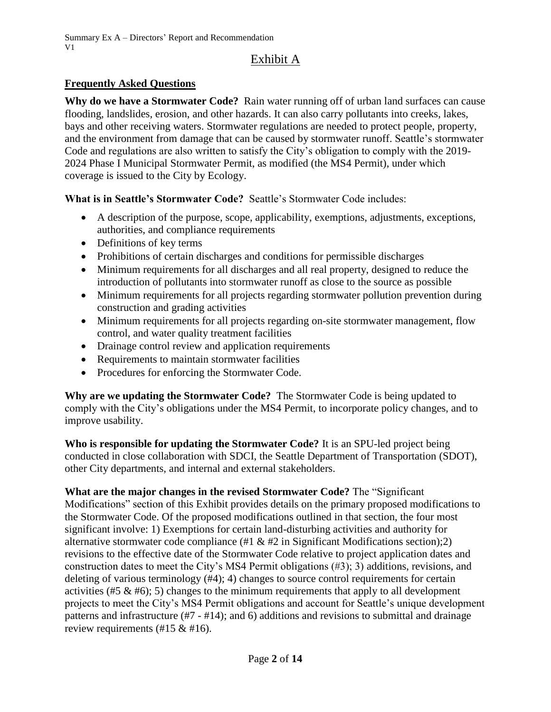### **Frequently Asked Questions**

**Why do we have a Stormwater Code?** Rain water running off of urban land surfaces can cause flooding, landslides, erosion, and other hazards. It can also carry pollutants into creeks, lakes, bays and other receiving waters. Stormwater regulations are needed to protect people, property, and the environment from damage that can be caused by stormwater runoff. Seattle's stormwater Code and regulations are also written to satisfy the City's obligation to comply with the 2019- 2024 Phase I Municipal Stormwater Permit, as modified (the MS4 Permit), under which coverage is issued to the City by Ecology.

**What is in Seattle's Stormwater Code?** Seattle's Stormwater Code includes:

- A description of the purpose, scope, applicability, exemptions, adjustments, exceptions, authorities, and compliance requirements
- Definitions of key terms
- Prohibitions of certain discharges and conditions for permissible discharges
- Minimum requirements for all discharges and all real property, designed to reduce the introduction of pollutants into stormwater runoff as close to the source as possible
- Minimum requirements for all projects regarding stormwater pollution prevention during construction and grading activities
- Minimum requirements for all projects regarding on-site stormwater management, flow control, and water quality treatment facilities
- Drainage control review and application requirements
- Requirements to maintain stormwater facilities
- Procedures for enforcing the Stormwater Code.

**Why are we updating the Stormwater Code?** The Stormwater Code is being updated to comply with the City's obligations under the MS4 Permit, to incorporate policy changes, and to improve usability.

**Who is responsible for updating the Stormwater Code?** It is an SPU-led project being conducted in close collaboration with SDCI, the Seattle Department of Transportation (SDOT), other City departments, and internal and external stakeholders.

**What are the major changes in the revised Stormwater Code?** The "Significant Modifications" section of this Exhibit provides details on the primary proposed modifications to the Stormwater Code. Of the proposed modifications outlined in that section, the four most significant involve: 1) Exemptions for certain land-disturbing activities and authority for alternative stormwater code compliance  $(\#1 \& \#2 \text{ in Significant Modifications section});2)$ revisions to the effective date of the Stormwater Code relative to project application dates and construction dates to meet the City's MS4 Permit obligations (#3); 3) additions, revisions, and deleting of various terminology (#4); 4) changes to source control requirements for certain activities (#5  $\&$  #6); 5) changes to the minimum requirements that apply to all development projects to meet the City's MS4 Permit obligations and account for Seattle's unique development patterns and infrastructure (#7 - #14); and 6) additions and revisions to submittal and drainage review requirements (#15 & #16).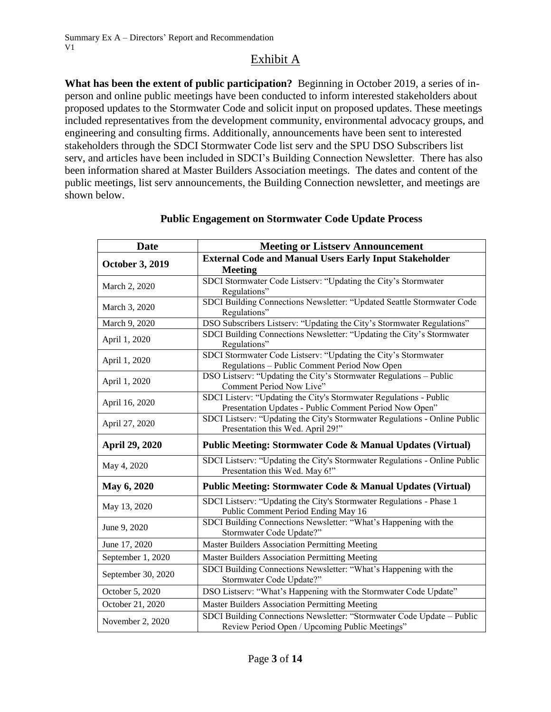**What has been the extent of public participation?** Beginning in October 2019, a series of inperson and online public meetings have been conducted to inform interested stakeholders about proposed updates to the Stormwater Code and solicit input on proposed updates. These meetings included representatives from the development community, environmental advocacy groups, and engineering and consulting firms. Additionally, announcements have been sent to interested stakeholders through the SDCI Stormwater Code list serv and the SPU DSO Subscribers list serv, and articles have been included in SDCI's Building Connection Newsletter. There has also been information shared at Master Builders Association meetings. The dates and content of the public meetings, list serv announcements, the Building Connection newsletter, and meetings are shown below.

| <b>Date</b>            | <b>Meeting or Listserv Announcement</b>                                                                                      |
|------------------------|------------------------------------------------------------------------------------------------------------------------------|
| <b>October 3, 2019</b> | <b>External Code and Manual Users Early Input Stakeholder</b>                                                                |
| March 2, 2020          | <b>Meeting</b><br>SDCI Stormwater Code Listserv: "Updating the City's Stormwater                                             |
|                        | Regulations"                                                                                                                 |
| March 3, 2020          | SDCI Building Connections Newsletter: "Updated Seattle Stormwater Code<br>Regulations"                                       |
| March 9, 2020          | DSO Subscribers Listserv: "Updating the City's Stormwater Regulations"                                                       |
| April 1, 2020          | SDCI Building Connections Newsletter: "Updating the City's Stormwater<br>Regulations"                                        |
| April 1, 2020          | SDCI Stormwater Code Listserv: "Updating the City's Stormwater<br>Regulations - Public Comment Period Now Open               |
| April 1, 2020          | DSO Listserv: "Updating the City's Stormwater Regulations - Public<br>Comment Period Now Live"                               |
| April 16, 2020         | SDCI Listerv: "Updating the City's Stormwater Regulations - Public<br>Presentation Updates - Public Comment Period Now Open" |
| April 27, 2020         | SDCI Listserv: "Updating the City's Stormwater Regulations - Online Public<br>Presentation this Wed. April 29!"              |
| April 29, 2020         | Public Meeting: Stormwater Code & Manual Updates (Virtual)                                                                   |
| May 4, 2020            | SDCI Listserv: "Updating the City's Stormwater Regulations - Online Public<br>Presentation this Wed. May 6!"                 |
| May 6, 2020            | <b>Public Meeting: Stormwater Code &amp; Manual Updates (Virtual)</b>                                                        |
| May 13, 2020           | SDCI Listserv: "Updating the City's Stormwater Regulations - Phase 1<br>Public Comment Period Ending May 16                  |
| June 9, 2020           | SDCI Building Connections Newsletter: "What's Happening with the<br>Stormwater Code Update?"                                 |
| June 17, 2020          | <b>Master Builders Association Permitting Meeting</b>                                                                        |
| September 1, 2020      | <b>Master Builders Association Permitting Meeting</b>                                                                        |
| September 30, 2020     | SDCI Building Connections Newsletter: "What's Happening with the<br>Stormwater Code Update?"                                 |
| October 5, 2020        | DSO Listserv: "What's Happening with the Stormwater Code Update"                                                             |
| October 21, 2020       | <b>Master Builders Association Permitting Meeting</b>                                                                        |
| November 2, 2020       | SDCI Building Connections Newsletter: "Stormwater Code Update - Public<br>Review Period Open / Upcoming Public Meetings"     |

#### **Public Engagement on Stormwater Code Update Process**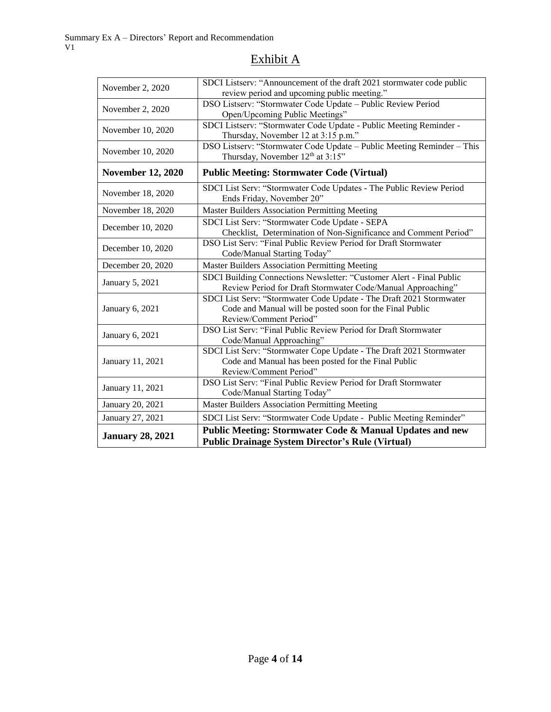| November 2, 2020         | SDCI Listserv: "Announcement of the draft 2021 stormwater code public<br>review period and upcoming public meeting."                                      |
|--------------------------|-----------------------------------------------------------------------------------------------------------------------------------------------------------|
| November 2, 2020         | DSO Listserv: "Stormwater Code Update - Public Review Period<br>Open/Upcoming Public Meetings"                                                            |
| November 10, 2020        | SDCI Listserv: "Stormwater Code Update - Public Meeting Reminder -<br>Thursday, November 12 at 3:15 p.m."                                                 |
| November 10, 2020        | DSO Listserv: "Stormwater Code Update - Public Meeting Reminder - This<br>Thursday, November 12th at 3:15"                                                |
| <b>November 12, 2020</b> | <b>Public Meeting: Stormwater Code (Virtual)</b>                                                                                                          |
| November 18, 2020        | SDCI List Serv: "Stormwater Code Updates - The Public Review Period<br>Ends Friday, November 20"                                                          |
| November 18, 2020        | <b>Master Builders Association Permitting Meeting</b>                                                                                                     |
| December 10, 2020        | SDCI List Serv: "Stormwater Code Update - SEPA<br>Checklist, Determination of Non-Significance and Comment Period"                                        |
| December 10, 2020        | DSO List Serv: "Final Public Review Period for Draft Stormwater<br>Code/Manual Starting Today"                                                            |
| December 20, 2020        | Master Builders Association Permitting Meeting                                                                                                            |
| January 5, 2021          | SDCI Building Connections Newsletter: "Customer Alert - Final Public<br>Review Period for Draft Stormwater Code/Manual Approaching"                       |
| January 6, 2021          | SDCI List Serv: "Stormwater Code Update - The Draft 2021 Stormwater<br>Code and Manual will be posted soon for the Final Public<br>Review/Comment Period" |
| January 6, 2021          | DSO List Serv: "Final Public Review Period for Draft Stormwater<br>Code/Manual Approaching"                                                               |
| January 11, 2021         | SDCI List Serv: "Stormwater Cope Update - The Draft 2021 Stormwater<br>Code and Manual has been posted for the Final Public<br>Review/Comment Period"     |
| January 11, 2021         | DSO List Serv: "Final Public Review Period for Draft Stormwater<br>Code/Manual Starting Today"                                                            |
| January 20, 2021         | <b>Master Builders Association Permitting Meeting</b>                                                                                                     |
| January 27, 2021         | SDCI List Serv: "Stormwater Code Update - Public Meeting Reminder"                                                                                        |
| <b>January 28, 2021</b>  | Public Meeting: Stormwater Code & Manual Updates and new<br><b>Public Drainage System Director's Rule (Virtual)</b>                                       |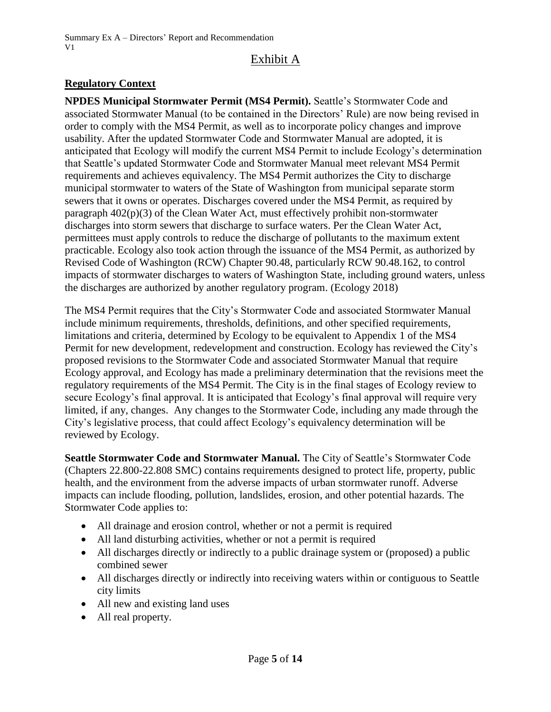### **Regulatory Context**

**NPDES Municipal Stormwater Permit (MS4 Permit).** Seattle's Stormwater Code and associated Stormwater Manual (to be contained in the Directors' Rule) are now being revised in order to comply with the MS4 Permit, as well as to incorporate policy changes and improve usability. After the updated Stormwater Code and Stormwater Manual are adopted, it is anticipated that Ecology will modify the current MS4 Permit to include Ecology's determination that Seattle's updated Stormwater Code and Stormwater Manual meet relevant MS4 Permit requirements and achieves equivalency. The MS4 Permit authorizes the City to discharge municipal stormwater to waters of the State of Washington from municipal separate storm sewers that it owns or operates. Discharges covered under the MS4 Permit, as required by paragraph 402(p)(3) of the Clean Water Act, must effectively prohibit non-stormwater discharges into storm sewers that discharge to surface waters. Per the Clean Water Act, permittees must apply controls to reduce the discharge of pollutants to the maximum extent practicable. Ecology also took action through the issuance of the MS4 Permit, as authorized by Revised Code of Washington (RCW) Chapter 90.48, particularly RCW 90.48.162, to control impacts of stormwater discharges to waters of Washington State, including ground waters, unless the discharges are authorized by another regulatory program. (Ecology 2018)

The MS4 Permit requires that the City's Stormwater Code and associated Stormwater Manual include minimum requirements, thresholds, definitions, and other specified requirements, limitations and criteria, determined by Ecology to be equivalent to Appendix 1 of the MS4 Permit for new development, redevelopment and construction. Ecology has reviewed the City's proposed revisions to the Stormwater Code and associated Stormwater Manual that require Ecology approval, and Ecology has made a preliminary determination that the revisions meet the regulatory requirements of the MS4 Permit. The City is in the final stages of Ecology review to secure Ecology's final approval. It is anticipated that Ecology's final approval will require very limited, if any, changes. Any changes to the Stormwater Code, including any made through the City's legislative process, that could affect Ecology's equivalency determination will be reviewed by Ecology.

**Seattle Stormwater Code and Stormwater Manual.** The City of Seattle's Stormwater Code (Chapters 22.800-22.808 SMC) contains requirements designed to protect life, property, public health, and the environment from the adverse impacts of urban stormwater runoff. Adverse impacts can include flooding, pollution, landslides, erosion, and other potential hazards. The Stormwater Code applies to:

- All drainage and erosion control, whether or not a permit is required
- All land disturbing activities, whether or not a permit is required
- All discharges directly or indirectly to a public drainage system or (proposed) a public combined sewer
- All discharges directly or indirectly into receiving waters within or contiguous to Seattle city limits
- All new and existing land uses
- All real property.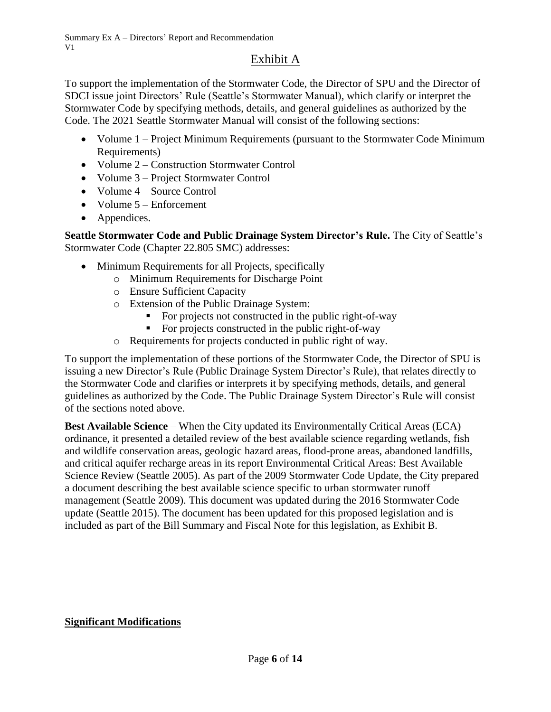To support the implementation of the Stormwater Code, the Director of SPU and the Director of SDCI issue joint Directors' Rule (Seattle's Stormwater Manual), which clarify or interpret the Stormwater Code by specifying methods, details, and general guidelines as authorized by the Code. The 2021 Seattle Stormwater Manual will consist of the following sections:

- Volume 1 Project Minimum Requirements (pursuant to the Stormwater Code Minimum Requirements)
- Volume 2 Construction Stormwater Control
- Volume 3 Project Stormwater Control
- Volume 4 Source Control
- Volume 5 Enforcement
- Appendices.

**Seattle Stormwater Code and Public Drainage System Director's Rule.** The City of Seattle's Stormwater Code (Chapter 22.805 SMC) addresses:

- Minimum Requirements for all Projects, specifically
	- o Minimum Requirements for Discharge Point
		- o Ensure Sufficient Capacity
		- o Extension of the Public Drainage System:
			- For projects not constructed in the public right-of-way
			- For projects constructed in the public right-of-way
		- o Requirements for projects conducted in public right of way.

To support the implementation of these portions of the Stormwater Code, the Director of SPU is issuing a new Director's Rule (Public Drainage System Director's Rule), that relates directly to the Stormwater Code and clarifies or interprets it by specifying methods, details, and general guidelines as authorized by the Code. The Public Drainage System Director's Rule will consist of the sections noted above.

**Best Available Science** – When the City updated its Environmentally Critical Areas (ECA) ordinance, it presented a detailed review of the best available science regarding wetlands, fish and wildlife conservation areas, geologic hazard areas, flood-prone areas, abandoned landfills, and critical aquifer recharge areas in its report Environmental Critical Areas: Best Available Science Review (Seattle 2005). As part of the 2009 Stormwater Code Update, the City prepared a document describing the best available science specific to urban stormwater runoff management (Seattle 2009). This document was updated during the 2016 Stormwater Code update (Seattle 2015). The document has been updated for this proposed legislation and is included as part of the Bill Summary and Fiscal Note for this legislation, as Exhibit B.

# **Significant Modifications**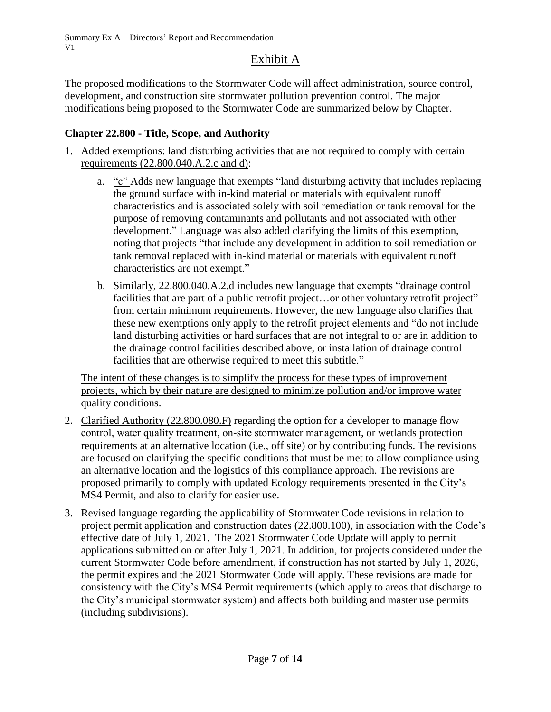The proposed modifications to the Stormwater Code will affect administration, source control, development, and construction site stormwater pollution prevention control. The major modifications being proposed to the Stormwater Code are summarized below by Chapter.

#### **Chapter 22.800 - Title, Scope, and Authority**

- 1. Added exemptions: land disturbing activities that are not required to comply with certain requirements (22.800.040.A.2.c and d):
	- a. "c" Adds new language that exempts "land disturbing activity that includes replacing the ground surface with in-kind material or materials with equivalent runoff characteristics and is associated solely with soil remediation or tank removal for the purpose of removing contaminants and pollutants and not associated with other development." Language was also added clarifying the limits of this exemption, noting that projects "that include any development in addition to soil remediation or tank removal replaced with in-kind material or materials with equivalent runoff characteristics are not exempt."
	- b. Similarly, 22.800.040.A.2.d includes new language that exempts "drainage control facilities that are part of a public retrofit project...or other voluntary retrofit project" from certain minimum requirements. However, the new language also clarifies that these new exemptions only apply to the retrofit project elements and "do not include land disturbing activities or hard surfaces that are not integral to or are in addition to the drainage control facilities described above, or installation of drainage control facilities that are otherwise required to meet this subtitle."

The intent of these changes is to simplify the process for these types of improvement projects, which by their nature are designed to minimize pollution and/or improve water quality conditions.

- 2. Clarified Authority (22.800.080.F) regarding the option for a developer to manage flow control, water quality treatment, on‐site stormwater management, or wetlands protection requirements at an alternative location (i.e., off site) or by contributing funds. The revisions are focused on clarifying the specific conditions that must be met to allow compliance using an alternative location and the logistics of this compliance approach. The revisions are proposed primarily to comply with updated Ecology requirements presented in the City's MS4 Permit, and also to clarify for easier use.
- 3. Revised language regarding the applicability of Stormwater Code revisions in relation to project permit application and construction dates (22.800.100), in association with the Code's effective date of July 1, 2021. The 2021 Stormwater Code Update will apply to permit applications submitted on or after July 1, 2021. In addition, for projects considered under the current Stormwater Code before amendment, if construction has not started by July 1, 2026, the permit expires and the 2021 Stormwater Code will apply. These revisions are made for consistency with the City's MS4 Permit requirements (which apply to areas that discharge to the City's municipal stormwater system) and affects both building and master use permits (including subdivisions).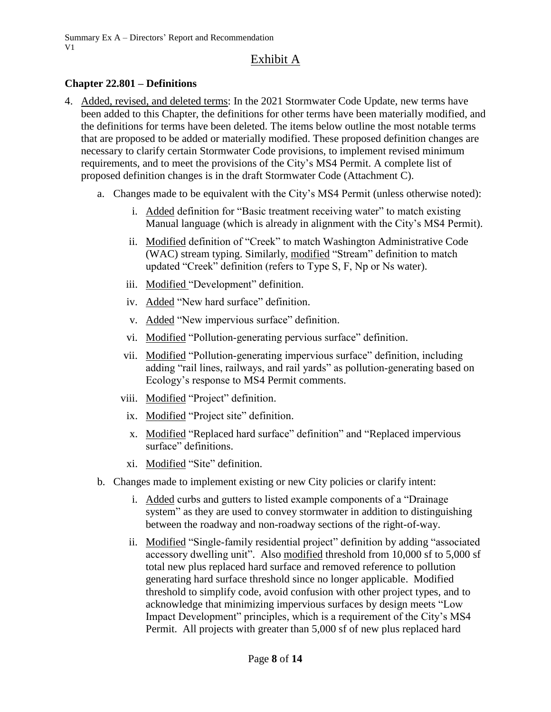#### **Chapter 22.801 – Definitions**

- 4. Added, revised, and deleted terms: In the 2021 Stormwater Code Update, new terms have been added to this Chapter, the definitions for other terms have been materially modified, and the definitions for terms have been deleted. The items below outline the most notable terms that are proposed to be added or materially modified. These proposed definition changes are necessary to clarify certain Stormwater Code provisions, to implement revised minimum requirements, and to meet the provisions of the City's MS4 Permit. A complete list of proposed definition changes is in the draft Stormwater Code (Attachment C).
	- a. Changes made to be equivalent with the City's MS4 Permit (unless otherwise noted):
		- i. Added definition for "Basic treatment receiving water" to match existing Manual language (which is already in alignment with the City's MS4 Permit).
		- ii. Modified definition of "Creek" to match Washington Administrative Code (WAC) stream typing. Similarly, modified "Stream" definition to match updated "Creek" definition (refers to Type S, F, Np or Ns water).
		- iii. Modified "Development" definition.
		- iv. Added "New hard surface" definition.
		- v. Added "New impervious surface" definition.
		- vi. Modified "Pollution‐generating pervious surface" definition.
		- vii. Modified "Pollution‐generating impervious surface" definition, including adding "rail lines, railways, and rail yards" as pollution‐generating based on Ecology's response to MS4 Permit comments.
		- viii. Modified "Project" definition.
		- ix. Modified "Project site" definition.
		- x. Modified "Replaced hard surface" definition" and "Replaced impervious surface" definitions.
		- xi. Modified "Site" definition.
	- b. Changes made to implement existing or new City policies or clarify intent:
		- i. Added curbs and gutters to listed example components of a "Drainage system" as they are used to convey stormwater in addition to distinguishing between the roadway and non-roadway sections of the right-of-way.
		- ii. Modified "Single‐family residential project" definition by adding "associated accessory dwelling unit". Also modified threshold from 10,000 sf to 5,000 sf total new plus replaced hard surface and removed reference to pollution generating hard surface threshold since no longer applicable. Modified threshold to simplify code, avoid confusion with other project types, and to acknowledge that minimizing impervious surfaces by design meets "Low Impact Development" principles, which is a requirement of the City's MS4 Permit. All projects with greater than 5,000 sf of new plus replaced hard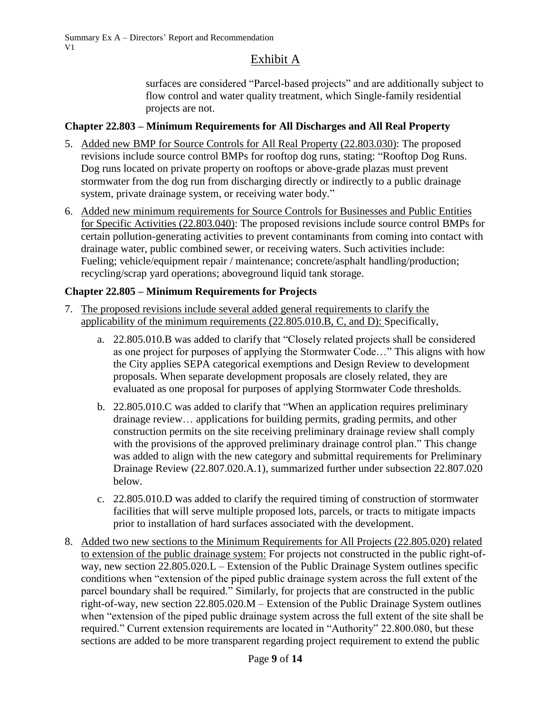surfaces are considered "Parcel-based projects" and are additionally subject to flow control and water quality treatment, which Single-family residential projects are not.

### **Chapter 22.803 – Minimum Requirements for All Discharges and All Real Property**

- 5. Added new BMP for Source Controls for All Real Property (22.803.030): The proposed revisions include source control BMPs for rooftop dog runs, stating: "Rooftop Dog Runs. Dog runs located on private property on rooftops or above-grade plazas must prevent stormwater from the dog run from discharging directly or indirectly to a public drainage system, private drainage system, or receiving water body."
- 6. Added new minimum requirements for Source Controls for Businesses and Public Entities for Specific Activities (22.803.040): The proposed revisions include source control BMPs for certain pollution-generating activities to prevent contaminants from coming into contact with drainage water, public combined sewer, or receiving waters. Such activities include: Fueling; vehicle/equipment repair / maintenance; concrete/asphalt handling/production; recycling/scrap yard operations; aboveground liquid tank storage.

### **Chapter 22.805 – Minimum Requirements for Projects**

- 7. The proposed revisions include several added general requirements to clarify the applicability of the minimum requirements (22.805.010.B, C, and D): Specifically,
	- a. 22.805.010.B was added to clarify that "Closely related projects shall be considered as one project for purposes of applying the Stormwater Code…" This aligns with how the City applies SEPA categorical exemptions and Design Review to development proposals. When separate development proposals are closely related, they are evaluated as one proposal for purposes of applying Stormwater Code thresholds.
	- b. 22.805.010.C was added to clarify that "When an application requires preliminary drainage review… applications for building permits, grading permits, and other construction permits on the site receiving preliminary drainage review shall comply with the provisions of the approved preliminary drainage control plan." This change was added to align with the new category and submittal requirements for Preliminary Drainage Review (22.807.020.A.1), summarized further under subsection 22.807.020 below.
	- c. 22.805.010.D was added to clarify the required timing of construction of stormwater facilities that will serve multiple proposed lots, parcels, or tracts to mitigate impacts prior to installation of hard surfaces associated with the development.
- 8. Added two new sections to the Minimum Requirements for All Projects (22.805.020) related to extension of the public drainage system: For projects not constructed in the public right-ofway, new section 22.805.020.L – Extension of the Public Drainage System outlines specific conditions when "extension of the piped public drainage system across the full extent of the parcel boundary shall be required." Similarly, for projects that are constructed in the public right-of-way, new section 22.805.020.M – Extension of the Public Drainage System outlines when "extension of the piped public drainage system across the full extent of the site shall be required." Current extension requirements are located in "Authority" 22.800.080, but these sections are added to be more transparent regarding project requirement to extend the public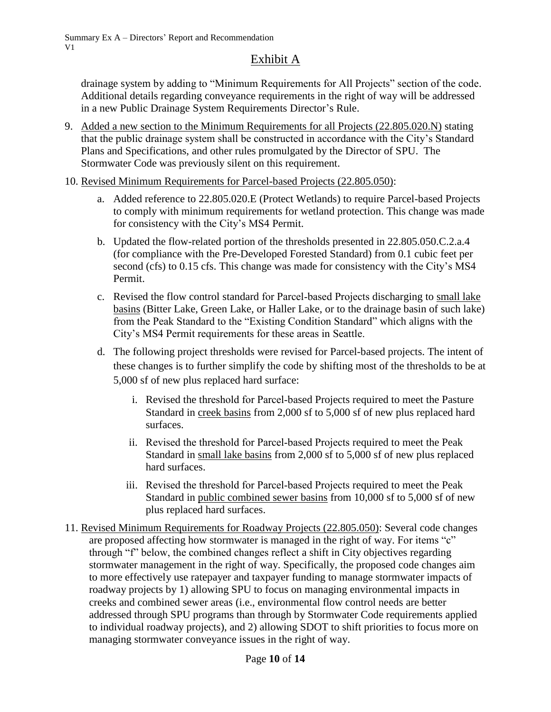drainage system by adding to "Minimum Requirements for All Projects" section of the code. Additional details regarding conveyance requirements in the right of way will be addressed in a new Public Drainage System Requirements Director's Rule.

- 9. Added a new section to the Minimum Requirements for all Projects (22.805.020.N) stating that the public drainage system shall be constructed in accordance with the City's Standard Plans and Specifications, and other rules promulgated by the Director of SPU. The Stormwater Code was previously silent on this requirement.
- 10. Revised Minimum Requirements for Parcel-based Projects (22.805.050):
	- a. Added reference to 22.805.020.E (Protect Wetlands) to require Parcel-based Projects to comply with minimum requirements for wetland protection. This change was made for consistency with the City's MS4 Permit.
	- b. Updated the flow-related portion of the thresholds presented in 22.805.050.C.2.a.4 (for compliance with the Pre-Developed Forested Standard) from 0.1 cubic feet per second (cfs) to 0.15 cfs. This change was made for consistency with the City's MS4 Permit.
	- c. Revised the flow control standard for Parcel‐based Projects discharging to small lake basins (Bitter Lake, Green Lake, or Haller Lake, or to the drainage basin of such lake) from the Peak Standard to the "Existing Condition Standard" which aligns with the City's MS4 Permit requirements for these areas in Seattle.
	- d. The following project thresholds were revised for Parcel-based projects. The intent of these changes is to further simplify the code by shifting most of the thresholds to be at 5,000 sf of new plus replaced hard surface:
		- i. Revised the threshold for Parcel‐based Projects required to meet the Pasture Standard in creek basins from 2,000 sf to 5,000 sf of new plus replaced hard surfaces.
		- ii. Revised the threshold for Parcel‐based Projects required to meet the Peak Standard in small lake basins from 2,000 sf to 5,000 sf of new plus replaced hard surfaces.
		- iii. Revised the threshold for Parcel‐based Projects required to meet the Peak Standard in public combined sewer basins from 10,000 sf to 5,000 sf of new plus replaced hard surfaces.
- 11. Revised Minimum Requirements for Roadway Projects (22.805.050): Several code changes are proposed affecting how stormwater is managed in the right of way. For items "c" through "f" below, the combined changes reflect a shift in City objectives regarding stormwater management in the right of way. Specifically, the proposed code changes aim to more effectively use ratepayer and taxpayer funding to manage stormwater impacts of roadway projects by 1) allowing SPU to focus on managing environmental impacts in creeks and combined sewer areas (i.e., environmental flow control needs are better addressed through SPU programs than through by Stormwater Code requirements applied to individual roadway projects), and 2) allowing SDOT to shift priorities to focus more on managing stormwater conveyance issues in the right of way.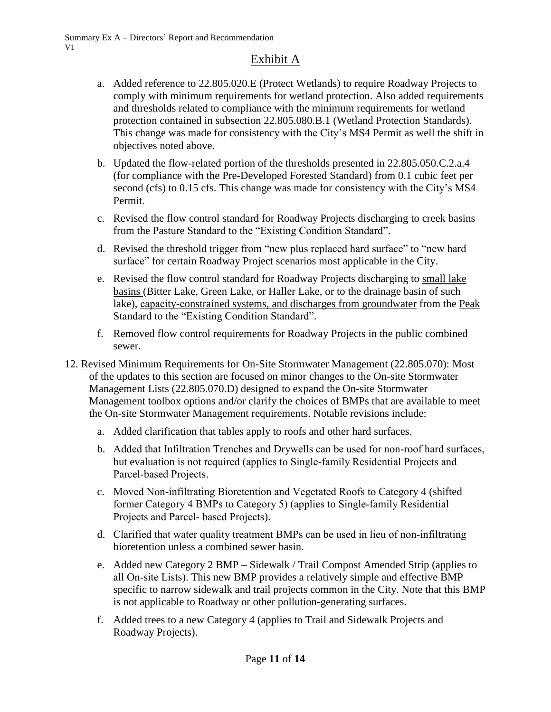- a. Added reference to 22.805.020.E (Protect Wetlands) to require Roadway Projects to comply with minimum requirements for wetland protection. Also added requirements and thresholds related to compliance with the minimum requirements for wetland protection contained in subsection 22.805.080.B.1 (Wetland Protection Standards). This change was made for consistency with the City's MS4 Permit as well the shift in objectives noted above.
- b. Updated the flow-related portion of the thresholds presented in 22.805.050.C.2.a.4 (for compliance with the Pre-Developed Forested Standard) from 0.1 cubic feet per second (cfs) to 0.15 cfs. This change was made for consistency with the City's MS4 Permit.
- c. Revised the flow control standard for Roadway Projects discharging to creek basins from the Pasture Standard to the "Existing Condition Standard".
- d. Revised the threshold trigger from "new plus replaced hard surface" to "new hard surface" for certain Roadway Project scenarios most applicable in the City.
- e. Revised the flow control standard for Roadway Projects discharging to small lake basins (Bitter Lake, Green Lake, or Haller Lake, or to the drainage basin of such lake), capacity-constrained systems, and discharges from groundwater from the Peak Standard to the "Existing Condition Standard".
- f. Removed flow control requirements for Roadway Projects in the public combined sewer.
- 12. Revised Minimum Requirements for On-Site Stormwater Management (22.805.070): Most of the updates to this section are focused on minor changes to the On-site Stormwater Management Lists (22.805.070.D) designed to expand the On-site Stormwater Management toolbox options and/or clarify the choices of BMPs that are available to meet the On-site Stormwater Management requirements. Notable revisions include:
	- a. Added clarification that tables apply to roofs and other hard surfaces.
	- b. Added that Infiltration Trenches and Drywells can be used for non‐roof hard surfaces, but evaluation is not required (applies to Single‐family Residential Projects and Parcel‐based Projects.
	- c. Moved Non‐infiltrating Bioretention and Vegetated Roofs to Category 4 (shifted former Category 4 BMPs to Category 5) (applies to Single‐family Residential Projects and Parcel‐ based Projects).
	- d. Clarified that water quality treatment BMPs can be used in lieu of non‐infiltrating bioretention unless a combined sewer basin.
	- e. Added new Category 2 BMP Sidewalk / Trail Compost Amended Strip (applies to all On‐site Lists). This new BMP provides a relatively simple and effective BMP specific to narrow sidewalk and trail projects common in the City. Note that this BMP is not applicable to Roadway or other pollution-generating surfaces.
	- f. Added trees to a new Category 4 (applies to Trail and Sidewalk Projects and Roadway Projects).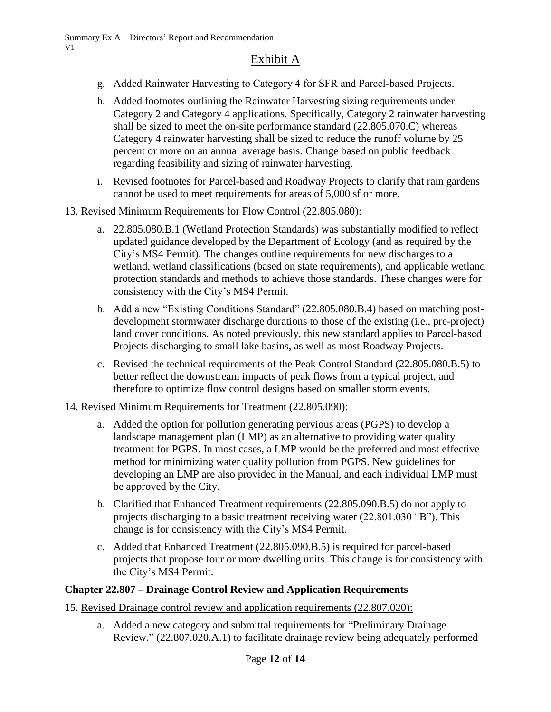- g. Added Rainwater Harvesting to Category 4 for SFR and Parcel‐based Projects.
- h. Added footnotes outlining the Rainwater Harvesting sizing requirements under Category 2 and Category 4 applications. Specifically, Category 2 rainwater harvesting shall be sized to meet the on-site performance standard (22.805.070.C) whereas Category 4 rainwater harvesting shall be sized to reduce the runoff volume by 25 percent or more on an annual average basis. Change based on public feedback regarding feasibility and sizing of rainwater harvesting.
- i. Revised footnotes for Parcel-based and Roadway Projects to clarify that rain gardens cannot be used to meet requirements for areas of 5,000 sf or more.
- 13. Revised Minimum Requirements for Flow Control (22.805.080):
	- a. 22.805.080.B.1 (Wetland Protection Standards) was substantially modified to reflect updated guidance developed by the Department of Ecology (and as required by the City's MS4 Permit). The changes outline requirements for new discharges to a wetland, wetland classifications (based on state requirements), and applicable wetland protection standards and methods to achieve those standards. These changes were for consistency with the City's MS4 Permit.
	- b. Add a new "Existing Conditions Standard" (22.805.080.B.4) based on matching postdevelopment stormwater discharge durations to those of the existing (i.e., pre-project) land cover conditions. As noted previously, this new standard applies to Parcel-based Projects discharging to small lake basins, as well as most Roadway Projects.
	- c. Revised the technical requirements of the Peak Control Standard (22.805.080.B.5) to better reflect the downstream impacts of peak flows from a typical project, and therefore to optimize flow control designs based on smaller storm events.

#### 14. Revised Minimum Requirements for Treatment (22.805.090):

- a. Added the option for pollution generating pervious areas (PGPS) to develop a landscape management plan (LMP) as an alternative to providing water quality treatment for PGPS. In most cases, a LMP would be the preferred and most effective method for minimizing water quality pollution from PGPS. New guidelines for developing an LMP are also provided in the Manual, and each individual LMP must be approved by the City.
- b. Clarified that Enhanced Treatment requirements (22.805.090.B.5) do not apply to projects discharging to a basic treatment receiving water (22.801.030 "B"). This change is for consistency with the City's MS4 Permit.
- c. Added that Enhanced Treatment (22.805.090.B.5) is required for parcel-based projects that propose four or more dwelling units. This change is for consistency with the City's MS4 Permit.

#### **Chapter 22.807 – Drainage Control Review and Application Requirements**

- 15. Revised Drainage control review and application requirements (22.807.020):
	- a. Added a new category and submittal requirements for "Preliminary Drainage Review." (22.807.020.A.1) to facilitate drainage review being adequately performed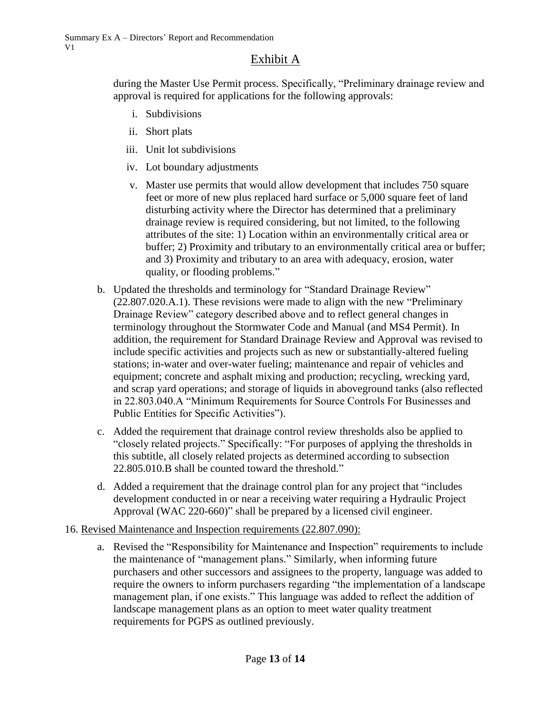during the Master Use Permit process. Specifically, "Preliminary drainage review and approval is required for applications for the following approvals:

- i. Subdivisions
- ii. Short plats
- iii. Unit lot subdivisions
- iv. Lot boundary adjustments
- v. Master use permits that would allow development that includes 750 square feet or more of new plus replaced hard surface or 5,000 square feet of land disturbing activity where the Director has determined that a preliminary drainage review is required considering, but not limited, to the following attributes of the site: 1) Location within an environmentally critical area or buffer; 2) Proximity and tributary to an environmentally critical area or buffer; and 3) Proximity and tributary to an area with adequacy, erosion, water quality, or flooding problems."
- b. Updated the thresholds and terminology for "Standard Drainage Review" (22.807.020.A.1). These revisions were made to align with the new "Preliminary Drainage Review" category described above and to reflect general changes in terminology throughout the Stormwater Code and Manual (and MS4 Permit). In addition, the requirement for Standard Drainage Review and Approval was revised to include specific activities and projects such as new or substantially-altered fueling stations; in-water and over-water fueling; maintenance and repair of vehicles and equipment; concrete and asphalt mixing and production; recycling, wrecking yard, and scrap yard operations; and storage of liquids in aboveground tanks (also reflected in 22.803.040.A "Minimum Requirements for Source Controls For Businesses and Public Entities for Specific Activities").
- c. Added the requirement that drainage control review thresholds also be applied to "closely related projects." Specifically: "For purposes of applying the thresholds in this subtitle, all closely related projects as determined according to subsection 22.805.010.B shall be counted toward the threshold."
- d. Added a requirement that the drainage control plan for any project that "includes development conducted in or near a receiving water requiring a Hydraulic Project Approval (WAC 220-660)" shall be prepared by a licensed civil engineer.
- 16. Revised Maintenance and Inspection requirements (22.807.090):
	- a. Revised the "Responsibility for Maintenance and Inspection" requirements to include the maintenance of "management plans." Similarly, when informing future purchasers and other successors and assignees to the property, language was added to require the owners to inform purchasers regarding "the implementation of a landscape management plan, if one exists." This language was added to reflect the addition of landscape management plans as an option to meet water quality treatment requirements for PGPS as outlined previously.